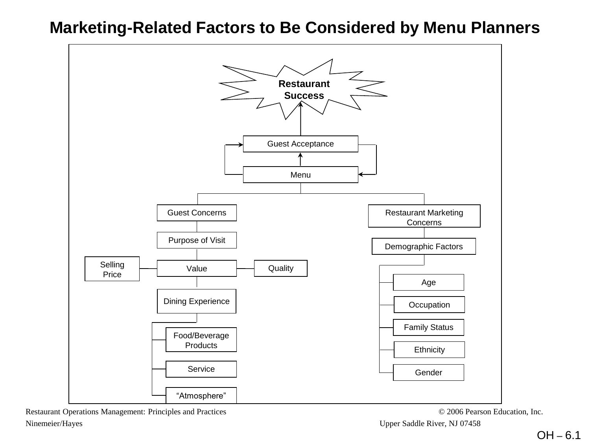#### **Marketing-Related Factors to Be Considered by Menu Planners**

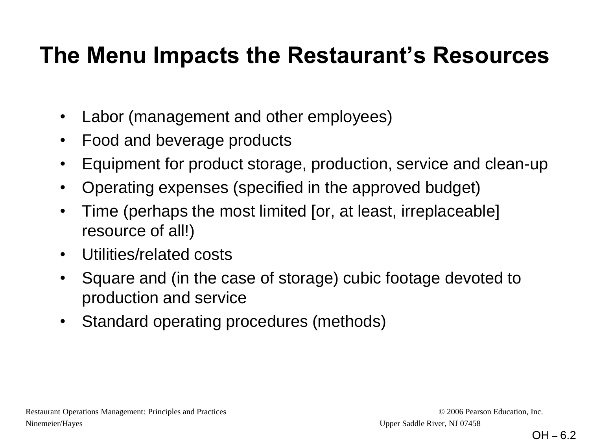### **The Menu Impacts the Restaurant's Resources**

- Labor (management and other employees)
- Food and beverage products
- Equipment for product storage, production, service and clean-up
- Operating expenses (specified in the approved budget)
- Time (perhaps the most limited [or, at least, irreplaceable] resource of all!)
- Utilities/related costs
- Square and (in the case of storage) cubic footage devoted to production and service
- Standard operating procedures (methods)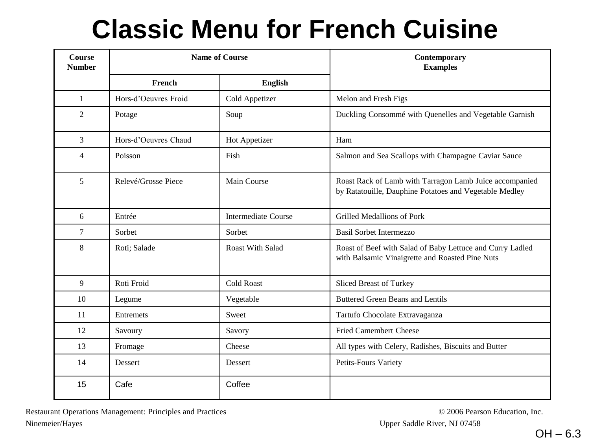### **Classic Menu for French Cuisine**

| Course<br><b>Number</b> |                      | <b>Name of Course</b>      | Contemporary<br><b>Examples</b>                                                                                   |  |  |  |
|-------------------------|----------------------|----------------------------|-------------------------------------------------------------------------------------------------------------------|--|--|--|
|                         | French               | English                    |                                                                                                                   |  |  |  |
| $\mathbf{1}$            | Hors-d'Oeuvres Froid | Cold Appetizer             | Melon and Fresh Figs                                                                                              |  |  |  |
| 2                       | Potage               | Soup                       | Duckling Consommé with Quenelles and Vegetable Garnish                                                            |  |  |  |
| 3                       | Hors-d'Oeuvres Chaud | Hot Appetizer              | Ham                                                                                                               |  |  |  |
| 4                       | Poisson              | Fish                       | Salmon and Sea Scallops with Champagne Caviar Sauce                                                               |  |  |  |
| 5                       | Relevé/Grosse Piece  | Main Course                | Roast Rack of Lamb with Tarragon Lamb Juice accompanied<br>by Ratatouille, Dauphine Potatoes and Vegetable Medley |  |  |  |
| 6                       | Entrée               | <b>Intermediate Course</b> | <b>Grilled Medallions of Pork</b>                                                                                 |  |  |  |
| 7                       | Sorbet               | Sorbet                     | <b>Basil Sorbet Intermezzo</b>                                                                                    |  |  |  |
| 8                       | Roti; Salade         | <b>Roast With Salad</b>    | Roast of Beef with Salad of Baby Lettuce and Curry Ladled<br>with Balsamic Vinaigrette and Roasted Pine Nuts      |  |  |  |
| 9                       | Roti Froid           | <b>Cold Roast</b>          | Sliced Breast of Turkey                                                                                           |  |  |  |
| 10                      | Legume               | Vegetable                  | <b>Buttered Green Beans and Lentils</b>                                                                           |  |  |  |
| 11                      | Entremets            | Sweet                      | Tartufo Chocolate Extravaganza                                                                                    |  |  |  |
| 12                      | Savoury              | Savory                     | <b>Fried Camembert Cheese</b>                                                                                     |  |  |  |
| 13                      | Fromage              | Cheese                     | All types with Celery, Radishes, Biscuits and Butter                                                              |  |  |  |
| 14                      | Dessert              | Dessert                    | Petits-Fours Variety                                                                                              |  |  |  |
| 15                      | Cafe                 | Coffee                     |                                                                                                                   |  |  |  |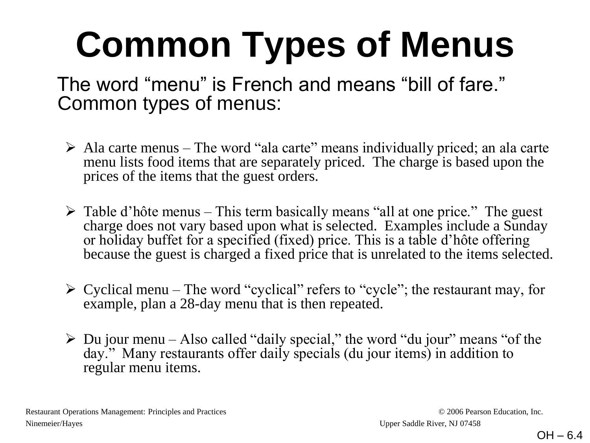# **Common Types of Menus**

### The word "menu" is French and means "bill of fare." Common types of menus:

- $\triangleright$  Ala carte menus The word "ala carte" means individually priced; an ala carte menu lists food items that are separately priced. The charge is based upon the prices of the items that the guest orders.
- $\triangleright$  Table d'hôte menus This term basically means "all at one price." The guest charge does not vary based upon what is selected. Examples include a Sunday or holiday buffet for a specified (fixed) price. This is a table d'hôte offering because the guest is charged a fixed price that is unrelated to the items selected.
- $\triangleright$  Cyclical menu The word "cyclical" refers to "cycle"; the restaurant may, for example, plan a 28-day menu that is then repeated.
- $\triangleright$  Du jour menu Also called "daily special," the word "du jour" means "of the day." Many restaurants offer daily specials (du jour items) in addition to regular menu items.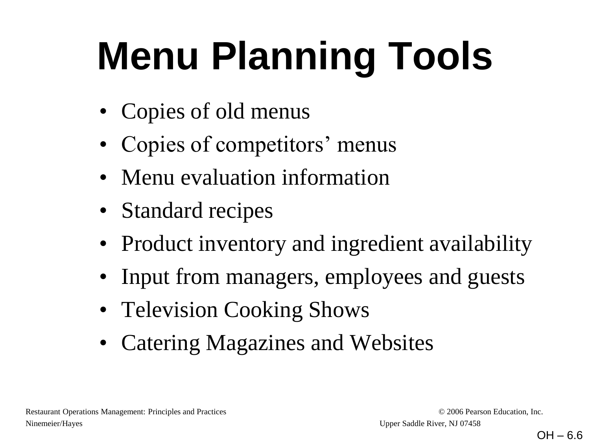# **Menu Planning Tools**

- Copies of old menus
- Copies of competitors' menus
- Menu evaluation information
- Standard recipes
- Product inventory and ingredient availability
- Input from managers, employees and guests
- Television Cooking Shows
- Catering Magazines and Websites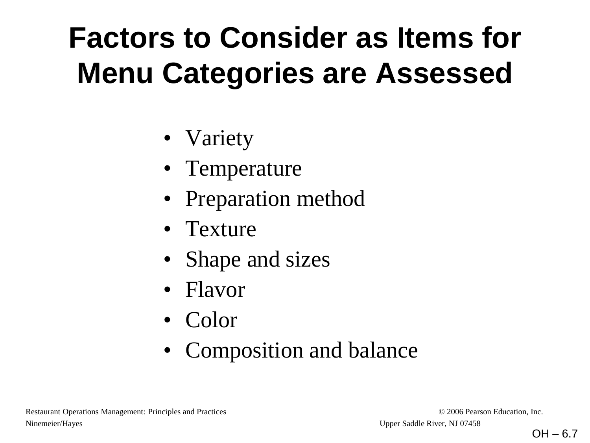## **Factors to Consider as Items for Menu Categories are Assessed**

- Variety
- Temperature
- Preparation method
- Texture
- Shape and sizes
- Flavor
- Color
- Composition and balance

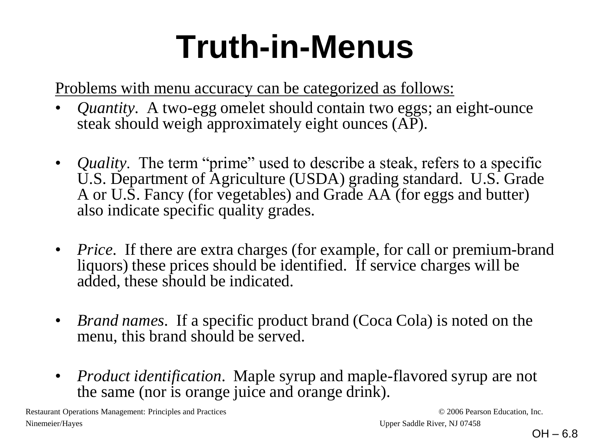# **Truth-in-Menus**

Problems with menu accuracy can be categorized as follows:

- *Quantity*. A two-egg omelet should contain two eggs; an eight-ounce steak should weigh approximately eight ounces (AP).
- *Quality*. The term "prime" used to describe a steak, refers to a specific U.S. Department of Agriculture (USDA) grading standard. U.S. Grade A or U.S. Fancy (for vegetables) and Grade AA (for eggs and butter) also indicate specific quality grades.
- *Price*. If there are extra charges (for example, for call or premium-brand liquors) these prices should be identified. If service charges will be added, these should be indicated.
- *Brand names*. If a specific product brand (Coca Cola) is noted on the menu, this brand should be served.
- *Product identification*. Maple syrup and maple-flavored syrup are not the same (nor is orange juice and orange drink).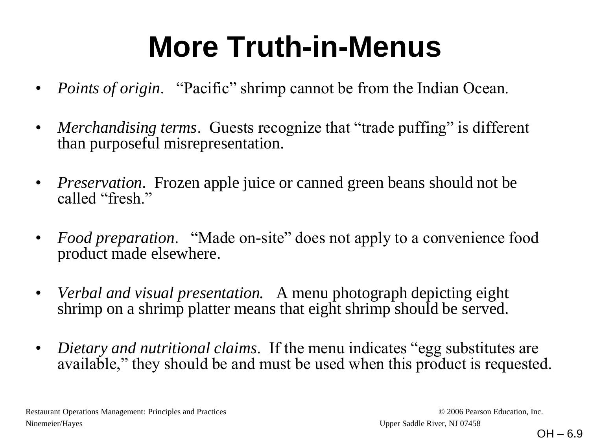## **More Truth-in-Menus**

- *Points of origin.* "Pacific" shrimp cannot be from the Indian Ocean.
- *Merchandising terms.* Guests recognize that "trade puffing" is different than purposeful misrepresentation.
- *Preservation*. Frozen apple juice or canned green beans should not be called "fresh."
- *Food preparation.* "Made on-site" does not apply to a convenience food product made elsewhere.
- *Verbal and visual presentation.* A menu photograph depicting eight shrimp on a shrimp platter means that eight shrimp should be served.
- *Dietary and nutritional claims*. If the menu indicates "egg substitutes are available," they should be and must be used when this product is requested.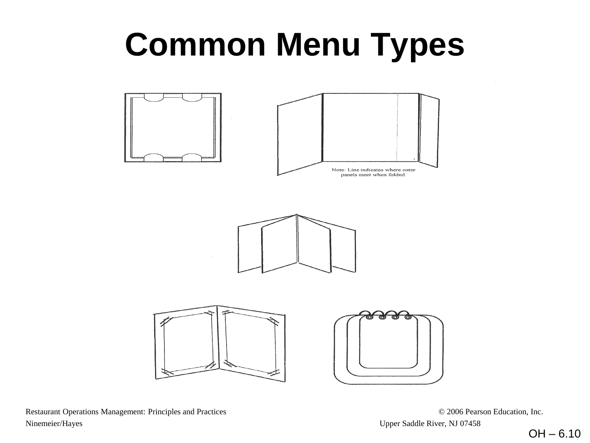# **Common Menu Types**

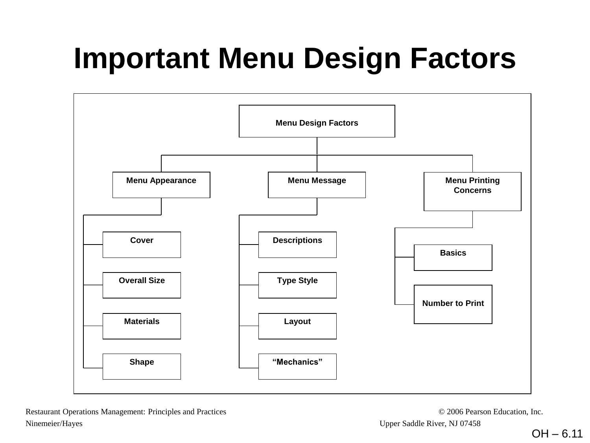## **Important Menu Design Factors**

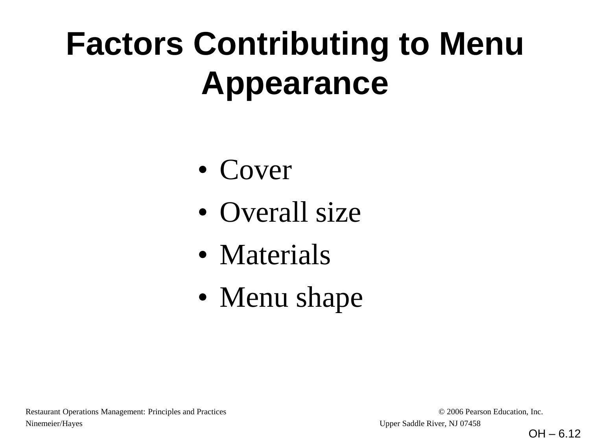# **Factors Contributing to Menu Appearance**

- Cover
- Overall size
- Materials
- Menu shape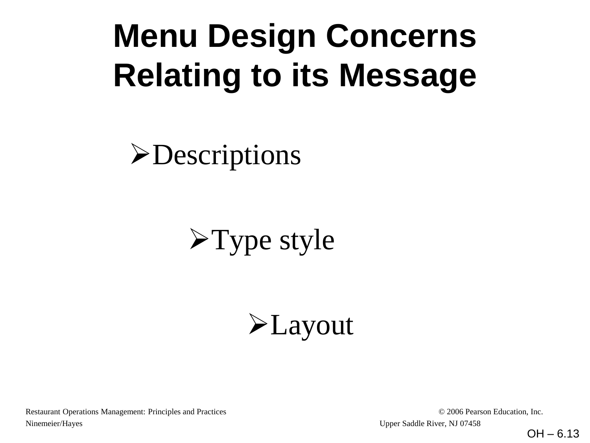# **Menu Design Concerns Relating to its Message**

**>Descriptions** 

## $\blacktriangleright$  Type style

**E** Layout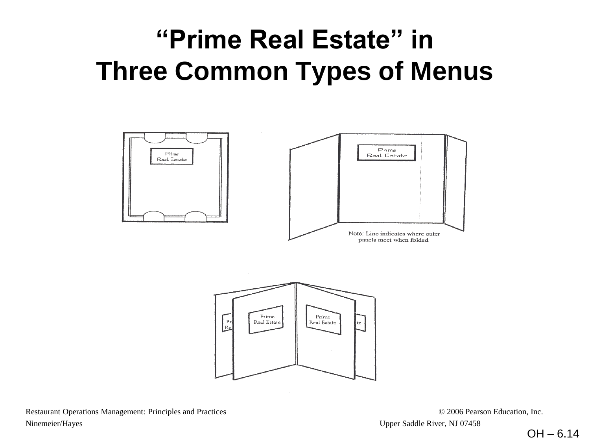### **"Prime Real Estate" in Three Common Types of Menus**

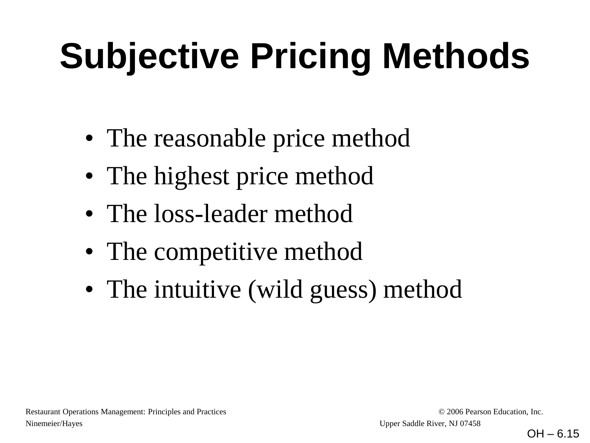# **Subjective Pricing Methods**

- The reasonable price method
- The highest price method
- The loss-leader method
- The competitive method
- The intuitive (wild guess) method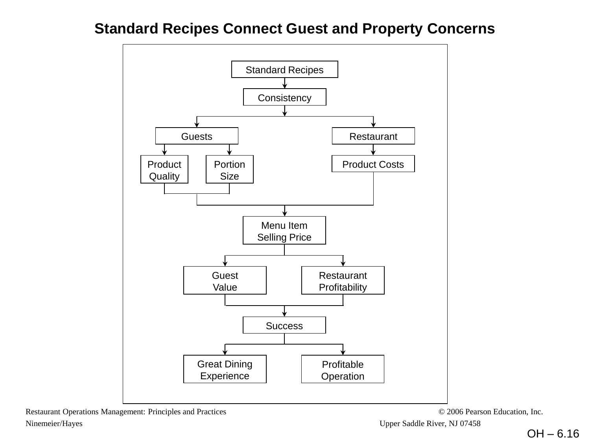#### **Standard Recipes Connect Guest and Property Concerns**

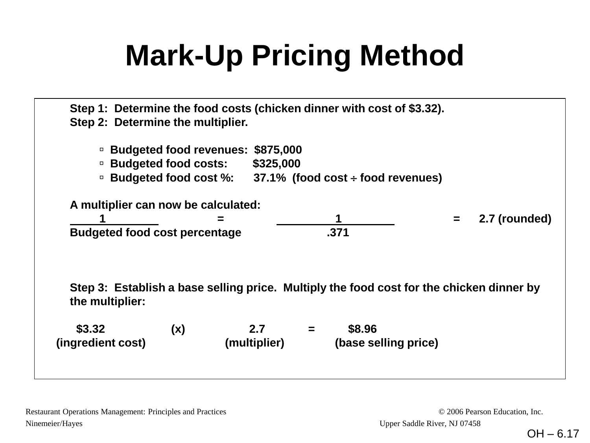## **Mark-Up Pricing Method**

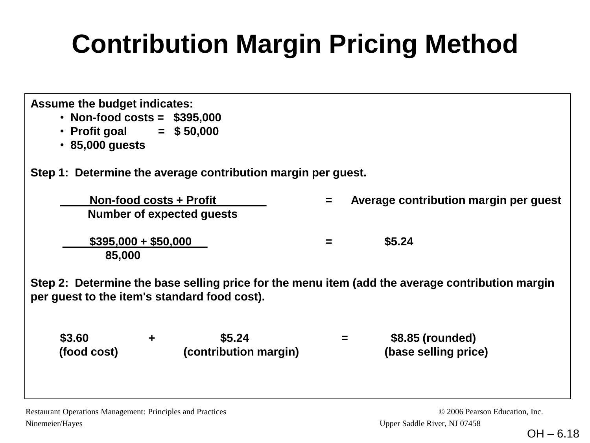### **Contribution Margin Pricing Method**

| <b>Assume the budget indicates:</b><br>• Non-food costs = $$395,000$<br>• Profit goal = $$50,000$<br>$\cdot$ 85,000 guests |   |                                                              |          |  |                                                                                                 |  |  |  |  |
|----------------------------------------------------------------------------------------------------------------------------|---|--------------------------------------------------------------|----------|--|-------------------------------------------------------------------------------------------------|--|--|--|--|
|                                                                                                                            |   | Step 1: Determine the average contribution margin per guest. |          |  |                                                                                                 |  |  |  |  |
|                                                                                                                            |   | <b>Non-food costs + Profit</b><br>Number of expected guests  | $=$      |  | Average contribution margin per guest                                                           |  |  |  |  |
| $$395,000 + $50,000$<br>\$5.24<br>$=$<br>85,000                                                                            |   |                                                              |          |  |                                                                                                 |  |  |  |  |
| per guest to the item's standard food cost).                                                                               |   |                                                              |          |  | Step 2: Determine the base selling price for the menu item (add the average contribution margin |  |  |  |  |
| \$3.60<br>(food cost)                                                                                                      | ٠ | \$5.24<br>(contribution margin)                              | $\equiv$ |  | \$8.85 (rounded)<br>(base selling price)                                                        |  |  |  |  |
|                                                                                                                            |   |                                                              |          |  |                                                                                                 |  |  |  |  |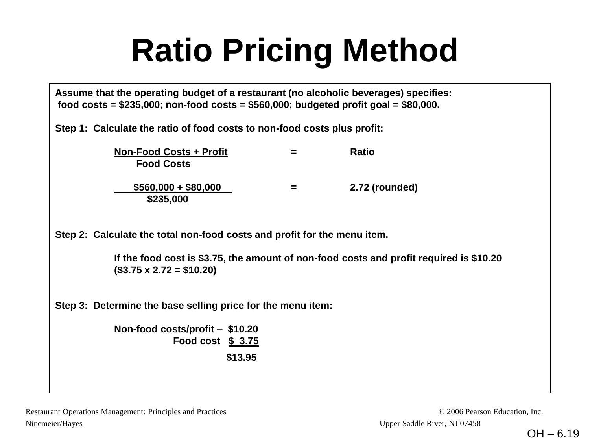# **Ratio Pricing Method**

| Assume that the operating budget of a restaurant (no alcoholic beverages) specifies:       |
|--------------------------------------------------------------------------------------------|
| food costs = $$235,000$ ; non-food costs = $$560,000$ ; budgeted profit goal = $$80,000$ . |

**Step 1: Calculate the ratio of food costs to non-food costs plus profit:** 

| <b>Non-Food Costs + Profit</b><br><b>Food Costs</b> |   | <b>Ratio</b>   |
|-----------------------------------------------------|---|----------------|
| $$560,000 + $80,000$<br>\$235,000                   | = | 2.72 (rounded) |

**Step 2: Calculate the total non-food costs and profit for the menu item.** 

**If the food cost is \$3.75, the amount of non-food costs and profit required is \$10.20 (\$3.75 x 2.72 = \$10.20)** 

**Step 3: Determine the base selling price for the menu item:** 

**Non-food costs/profit – \$10.20 Food cost \$ 3.75 \$13.95**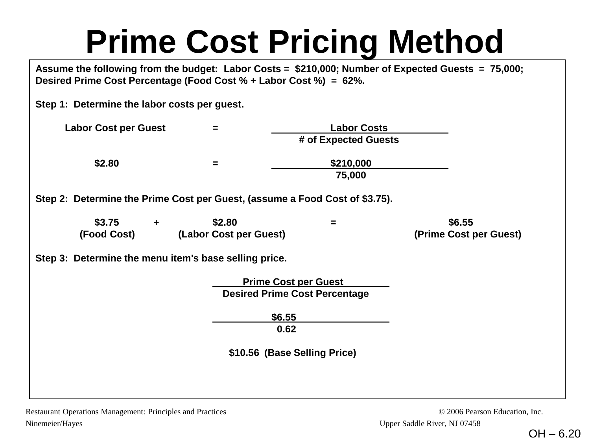# **Prime Cost Pricing Method**

**Assume the following from the budget: Labor Costs = \$210,000; Number of Expected Guests = 75,000; Desired Prime Cost Percentage (Food Cost % + Labor Cost %) = 62%.**

**Step 1: Determine the labor costs per guest.** 

| <b>Labor Cost per Guest</b> | = | <b>Labor Costs</b>   |
|-----------------------------|---|----------------------|
|                             |   | # of Expected Guests |
| \$2.80                      | = | \$210,000            |
|                             |   | 75,000               |

**Step 2: Determine the Prime Cost per Guest, (assume a Food Cost of \$3.75).**

| \$3.75      | \$2.80                 | \$6.55                 |
|-------------|------------------------|------------------------|
| (Food Cost) | (Labor Cost per Guest) | (Prime Cost per Guest) |

#### **Step 3: Determine the menu item's base selling price.**

 **Prime Cost per Guest Desired Prime Cost Percentage**

> **\$6.55 0.62**

 **\$10.56 (Base Selling Price)**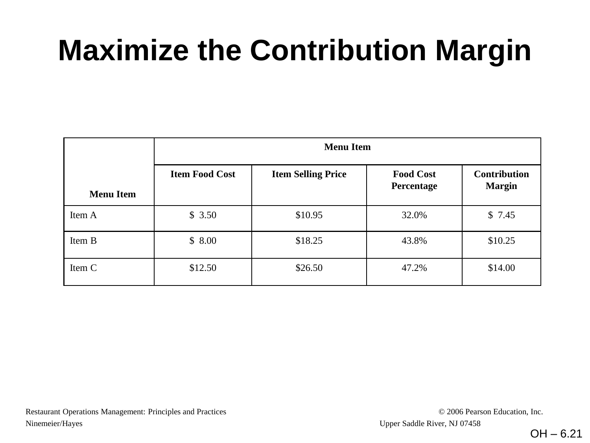## **Maximize the Contribution Margin**

| <b>Menu Item</b> | <b>Item Food Cost</b> | <b>Item Selling Price</b> | <b>Food Cost</b><br>Percentage | <b>Contribution</b><br><b>Margin</b> |  |
|------------------|-----------------------|---------------------------|--------------------------------|--------------------------------------|--|
| Item A           | \$3.50                | \$10.95                   | 32.0%                          | \$7.45                               |  |
| Item B           | \$8.00                | \$18.25                   | 43.8%                          | \$10.25                              |  |
| Item C           | \$12.50               | \$26.50                   | 47.2%                          | \$14.00                              |  |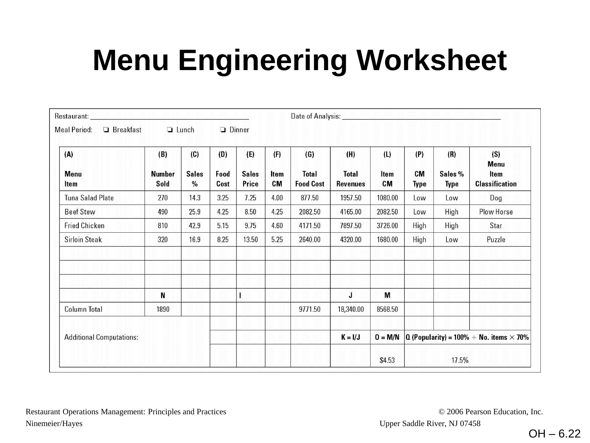## **Menu Engineering Worksheet**

| Restaurant:                                      |                              |                             |                     |                              | Date of Analysis:        |                                         |                                        |                   |                                                       |                               |                                              |
|--------------------------------------------------|------------------------------|-----------------------------|---------------------|------------------------------|--------------------------|-----------------------------------------|----------------------------------------|-------------------|-------------------------------------------------------|-------------------------------|----------------------------------------------|
| Meal Period:<br>$\Box$ Breakfast<br>$\Box$ Lunch |                              |                             |                     | $\Box$ Dinner                |                          |                                         |                                        |                   |                                                       |                               |                                              |
| (A)<br>Menu<br>Item                              | (B)<br><b>Number</b><br>Sold | (C)<br><b>Sales</b><br>$\%$ | (D)<br>Food<br>Cost | (E)<br><b>Sales</b><br>Price | (F)<br>Item<br><b>CM</b> | (G)<br><b>Total</b><br><b>Food Cost</b> | (H)<br><b>Total</b><br><b>Revenues</b> | (L)<br>Item<br>CM | (P)<br>CM<br><b>Type</b>                              | (R)<br>Sales %<br><b>Type</b> | (S)<br>Menu<br>Item<br><b>Classification</b> |
| Tuna Salad Plate                                 | 270                          | 14.3                        | 3.25                | 7.25                         | 4.00                     | 877.50                                  | 1957.50                                | 1080.00           | Low                                                   | Low                           | Dog                                          |
| <b>Beef Stew</b>                                 | 490                          | 25.9                        | 4.25                | 8.50                         | 4.25                     | 2082.50                                 | 4165.00                                | 2082.50           | Low                                                   | High                          | Plow Horse                                   |
| <b>Fried Chicken</b>                             | 810                          | 42.9                        | 5.15                | 9.75                         | 4.60                     | 4171.50                                 | 7897.50                                | 3726.00           | High                                                  | High                          | Star                                         |
| <b>Sirloin Steak</b>                             | 320                          | 16.9                        | 8.25                | 13.50                        | 5.25                     | 2640.00                                 | 4320.00                                | 1680.00           | High                                                  | Low                           | Puzzle                                       |
|                                                  |                              |                             |                     |                              |                          |                                         |                                        |                   |                                                       |                               |                                              |
|                                                  | N                            |                             |                     |                              |                          |                                         | J                                      | M                 |                                                       |                               |                                              |
| Column Total                                     | 1890                         |                             |                     |                              |                          | 9771.50                                 | 18,340.00                              | 8568.50           |                                                       |                               |                                              |
| <b>Additional Computations:</b>                  |                              |                             |                     |                              | $K = I/J$                | $0 = M/N$                               |                                        |                   | $Q$ (Popularity) = 100% $\div$ No. items $\times$ 70% |                               |                                              |
|                                                  |                              |                             |                     |                              |                          |                                         |                                        | \$4.53            |                                                       | 17.5%                         |                                              |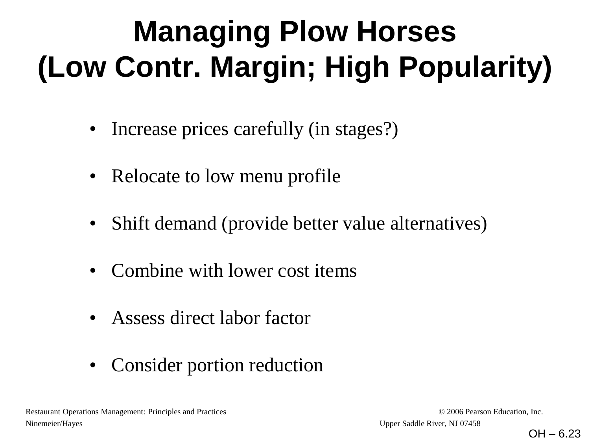# **Managing Plow Horses (Low Contr. Margin; High Popularity)**

- Increase prices carefully (in stages?)
- Relocate to low menu profile
- Shift demand (provide better value alternatives)
- Combine with lower cost items
- Assess direct labor factor
- Consider portion reduction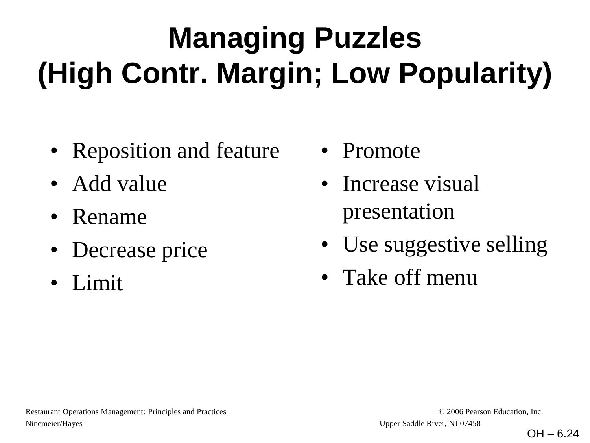# **Managing Puzzles (High Contr. Margin; Low Popularity)**

- Reposition and feature
- Add value
- Rename
- Decrease price
- Limit
- Promote
- Increase visual presentation
- Use suggestive selling
- Take off menu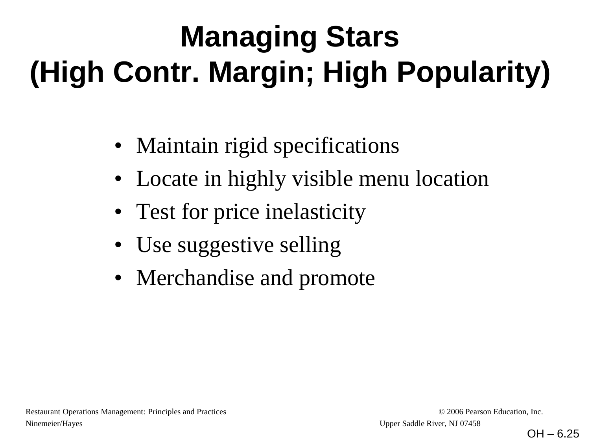# **Managing Stars (High Contr. Margin; High Popularity)**

- Maintain rigid specifications
- Locate in highly visible menu location
- Test for price inelasticity
- Use suggestive selling
- Merchandise and promote